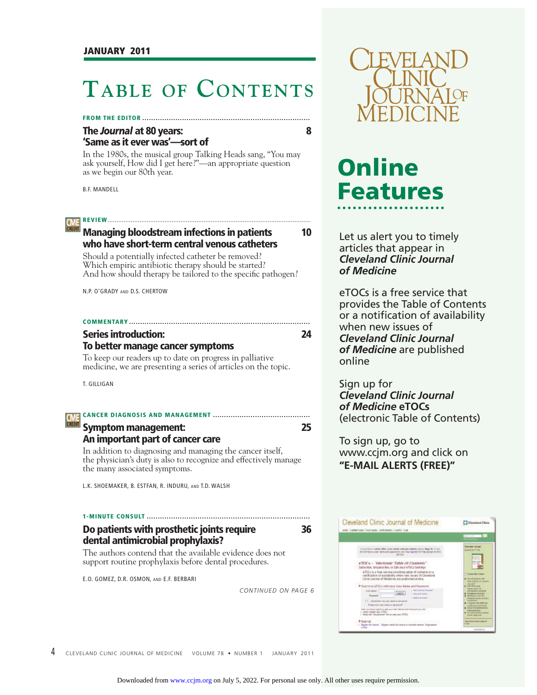## **TABLE OF CONTENTS**

#### **FROM THE EDITOR ............................................................................**

#### **The** *Journal* **at 80 years: 8 'Same as it ever was'—sort of**

In the 1980s, the musical group Talking Heads sang, "You may ask yourself, How did I get here?"—an appropriate question as we begin our 80th year.

B.F. MANDELL

#### **REVIEW** ........... **CME**<br>GREDIT

#### **Managing bloodstream infections in patients 10 who have short-term central venous catheters**

Should a potentially infected catheter be removed? Which empiric antibiotic therapy should be started? And how should therapy be tailored to the specific pathogen?

N.P. O'GRADY AND D.S. CHERTOW

#### **COMMENTARY ..................................................................................**

#### **Series introduction: 24 To better manage cancer symptoms**

To keep our readers up to date on progress in palliative medicine, we are presenting a series of articles on the topic.

T. GILLIGAN

#### **CANCER DIAGNOSIS AND MANAGEMENT ............................................**

**Symptom management: 25**

## **An important part of cancer care**

In addition to diagnosing and managing the cancer itself, the physician's duty is also to recognize and effectively manage the many associated symptoms.

L.K. SHOEMAKER, B. ESTFAN, R. INDURU, AND T.D. WALSH

#### **1-MINUTE CONSULT .......................................................................... Do patients with prosthetic joints require 36 dental antimicrobial prophylaxis?**

The authors contend that the available evidence does not support routine prophylaxis before dental procedures.

E.O. GOMEZ, D.R. OSMON, AND E.F. BERBARI

*CONTINUED ON PAGE 6*



# **Online Features**

Let us alert you to timely articles that appear in *Cleveland Clinic Journal of Medicine*

eTOCs is a free service that provides the Table of Contents or a notification of availability when new issues of *Cleveland Clinic Journal of Medicine* are published online

Sign up for *Cleveland Clinic Journal of Medicine* **eTOCs** (electronic Table of Contents)

To sign up, go to www.ccjm.org and click on **"E-MAIL ALERTS (FREE)"**



4 CLEVELAND CLINIC JOURNAL OF MEDICINE VOLUME 78 · NUMBER 1 JANUARY 2011